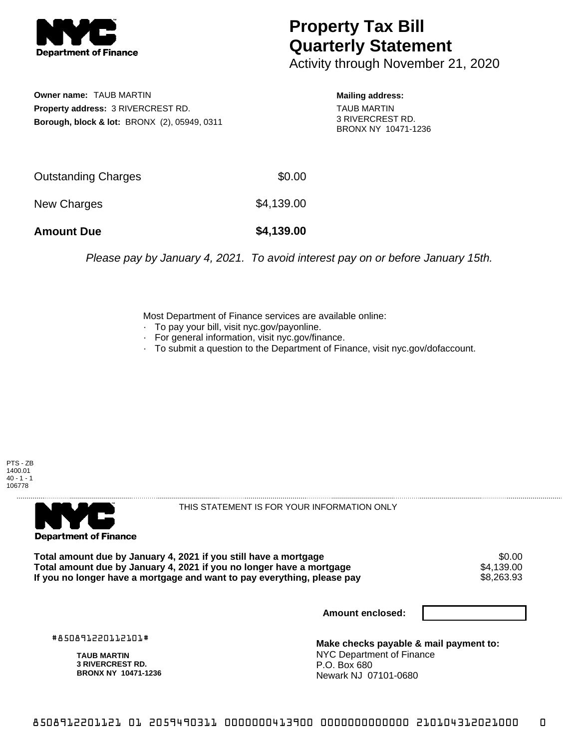

## **Property Tax Bill Quarterly Statement**

Activity through November 21, 2020

**Owner name:** TAUB MARTIN **Property address:** 3 RIVERCREST RD. **Borough, block & lot:** BRONX (2), 05949, 0311 **Mailing address:**

TAUB MARTIN 3 RIVERCREST RD. BRONX NY 10471-1236

| <b>Amount Due</b>   | \$4,139.00 |
|---------------------|------------|
| New Charges         | \$4,139.00 |
| Outstanding Charges | \$0.00     |

Please pay by January 4, 2021. To avoid interest pay on or before January 15th.

Most Department of Finance services are available online:

- · To pay your bill, visit nyc.gov/payonline.
- For general information, visit nyc.gov/finance.
- · To submit a question to the Department of Finance, visit nyc.gov/dofaccount.





THIS STATEMENT IS FOR YOUR INFORMATION ONLY

Total amount due by January 4, 2021 if you still have a mortgage \$0.00<br>Total amount due by January 4, 2021 if you no longer have a mortgage \$4.139.00 **Total amount due by January 4, 2021 if you no longer have a mortgage**  $$4,139.00$ **<br>If you no longer have a mortgage and want to pay everything, please pay <b>show that the summan show that the s**8,263.93 If you no longer have a mortgage and want to pay everything, please pay

**Amount enclosed:**

#850891220112101#

**TAUB MARTIN 3 RIVERCREST RD. BRONX NY 10471-1236**

**Make checks payable & mail payment to:** NYC Department of Finance P.O. Box 680 Newark NJ 07101-0680